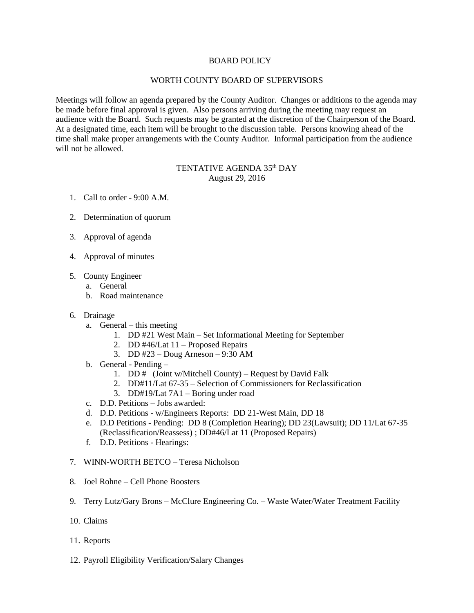## BOARD POLICY

## WORTH COUNTY BOARD OF SUPERVISORS

Meetings will follow an agenda prepared by the County Auditor. Changes or additions to the agenda may be made before final approval is given. Also persons arriving during the meeting may request an audience with the Board. Such requests may be granted at the discretion of the Chairperson of the Board. At a designated time, each item will be brought to the discussion table. Persons knowing ahead of the time shall make proper arrangements with the County Auditor. Informal participation from the audience will not be allowed.

## TENTATIVE AGENDA 35<sup>th</sup> DAY August 29, 2016

- 1. Call to order 9:00 A.M.
- 2. Determination of quorum
- 3. Approval of agenda
- 4. Approval of minutes
- 5. County Engineer
	- a. General
	- b. Road maintenance
- 6. Drainage
	- a. General this meeting
		- 1. DD #21 West Main Set Informational Meeting for September
		- 2. DD  $\#46$ /Lat  $11$  Proposed Repairs
		- 3. DD #23 Doug Arneson 9:30 AM
	- b. General Pending
		- 1. DD # (Joint w/Mitchell County) Request by David Falk
		- 2. DD#11/Lat 67-35 Selection of Commissioners for Reclassification
		- 3. DD#19/Lat 7A1 Boring under road
	- c. D.D. Petitions Jobs awarded:
	- d. D.D. Petitions w/Engineers Reports: DD 21-West Main, DD 18
	- e. D.D Petitions Pending: DD 8 (Completion Hearing); DD 23(Lawsuit); DD 11/Lat 67-35 (Reclassification/Reassess) ; DD#46/Lat 11 (Proposed Repairs)
	- f. D.D. Petitions Hearings:
- 7. WINN-WORTH BETCO Teresa Nicholson
- 8. Joel Rohne Cell Phone Boosters
- 9. Terry Lutz/Gary Brons McClure Engineering Co. Waste Water/Water Treatment Facility
- 10. Claims
- 11. Reports
- 12. Payroll Eligibility Verification/Salary Changes